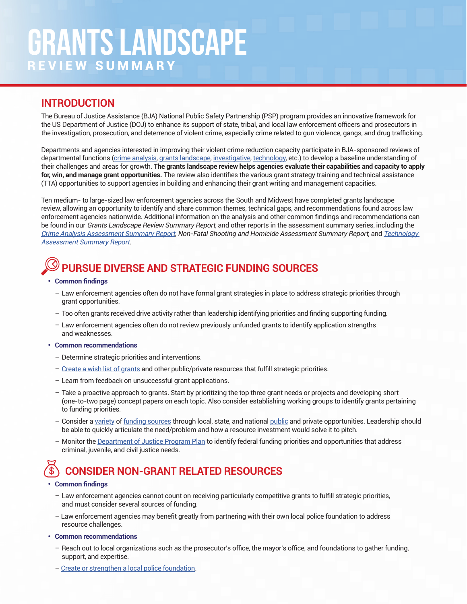## **INTRODUCTION**

The Bureau of Justice Assistance (BJA) National Public Safety Partnership (PSP) program provides an innovative framework for the US Department of Justice (DOJ) to enhance its support of state, tribal, and local law enforcement officers and prosecutors in the investigation, prosecution, and deterrence of violent crime, especially crime related to gun violence, gangs, and drug trafficking.

Departments and agencies interested in improving their violent crime reduction capacity participate in BJA-sponsored reviews of departmental functions [\(crime analysis](https://www.nationalpublicsafetypartnership.org/clearinghouse/Content/ResourceDocuments/PSP_CrimeAnalysis_AssessmentCommonalities_OnePager.pdf), [grants landscape,](https://www.nationalpublicsafetypartnership.org/clearinghouse/Content/ResourceDocuments/PSP_Grant_AssessmentCommonalities_OnePager.pdf) [investigative](https://www.nationalpublicsafetypartnership.org/clearinghouse/Content/ResourceDocuments/PSP_HomicideNFS_AssessmentCommonalities_OnePager.pdf), [technology](https://www.nationalpublicsafetypartnership.org/clearinghouse/Content/ResourceDocuments/PSP_Technology_AssessmentCommonalities_OnePager.pdf), etc.) to develop a baseline understanding of their challenges and areas for growth. **The grants landscape review helps agencies evaluate their capabilities and capacity to apply for, win, and manage grant opportunities.** The review also identifies the various grant strategy training and technical assistance (TTA) opportunities to support agencies in building and enhancing their grant writing and management capacities.

Ten medium- to large-sized law enforcement agencies across the South and Midwest have completed grants landscape review, allowing an opportunity to identify and share common themes, technical gaps, and recommendations found across law enforcement agencies nationwide. Additional information on the analysis and other common findings and recommendations can be found in our Grants Landscape Review Summary Report, and other reports in the assessment summary series, including the [Crime Analysis Assessment Summary Report](https://www.nationalpublicsafetypartnership.org/clearinghouse/Content/ResourceDocuments/PSP_Crime_Analysis_Assessment_Summary_FINAL.pdf), Non-Fatal Shooting and Homicide Assessment Summary Report, and [Technology](https://nationalpublicsafetypartnership.org/clearinghouse/Content/ResourceDocuments/PSP%20Technology%20Assessment%20Review%20FINAL%20(unlimited%20distro).pdf)  [Assessment Summary Report](https://nationalpublicsafetypartnership.org/clearinghouse/Content/ResourceDocuments/PSP%20Technology%20Assessment%20Review%20FINAL%20(unlimited%20distro).pdf).

# **PURSUE DIVERSE AND STRATEGIC FUNDING SOURCES**

#### **• Common findings**

- Law enforcement agencies often do not have formal grant strategies in place to address strategic priorities through grant opportunities.
- Too often grants received drive activity rather than leadership identifying priorities and finding supporting funding.
- Law enforcement agencies often do not review previously unfunded grants to identify application strengths and weaknesses.
- **• Common recommendations**
	- Determine strategic priorities and interventions.
	- [Create a wish list of grants](https://psntta.org/tta-resources/webinars/webinar-on-identifying-and-using-public-and-private-grant-funding-to-support-psn-programs/) and other public/private resources that fulfill strategic priorities.
	- Learn from feedback on unsuccessful grant applications.
	- Take a proactive approach to grants. Start by prioritizing the top three grant needs or projects and developing short (one-to-two page) concept papers on each topic. Also consider establishing working groups to identify grants pertaining to funding priorities.
	- Consider a [variety](https://www.policeone.com/police-grants/articles/outside-the-box-grant-sources-for-law-enforcement-kWAcBJmymHq2R258/) of [funding sources](https://cops.usdoj.gov/html/dispatch/02-2020/finding_funding.html) through local, state, and national [public](https://www.justice.gov/grants) and private opportunities. Leadership should be able to quickly articulate the need/problem and how a resource investment would solve it to pitch.
	- Monitor the [Department of Justice Program Plan](https://grantsnet.justice.gov/programplan/html/Home.htm) to identify federal funding priorities and opportunities that address criminal, juvenile, and civil justice needs.

## **CONSIDER NON-GRANT RELATED RESOURCES**

#### **• Common findings**

- Law enforcement agencies cannot count on receiving particularly competitive grants to fulfill strategic priorities, and must consider several sources of funding.
- Law enforcement agencies may benefit greatly from partnering with their own local police foundation to address resource challenges.
- **• Common recommendations**
	- Reach out to local organizations such as the prosecutor's office, the mayor's office, and foundations to gather funding, support, and expertise.
	- – [Create or strengthen a local police foundation](https://cops.usdoj.gov/RIC/Publications/cops-p302-pub.pdf).